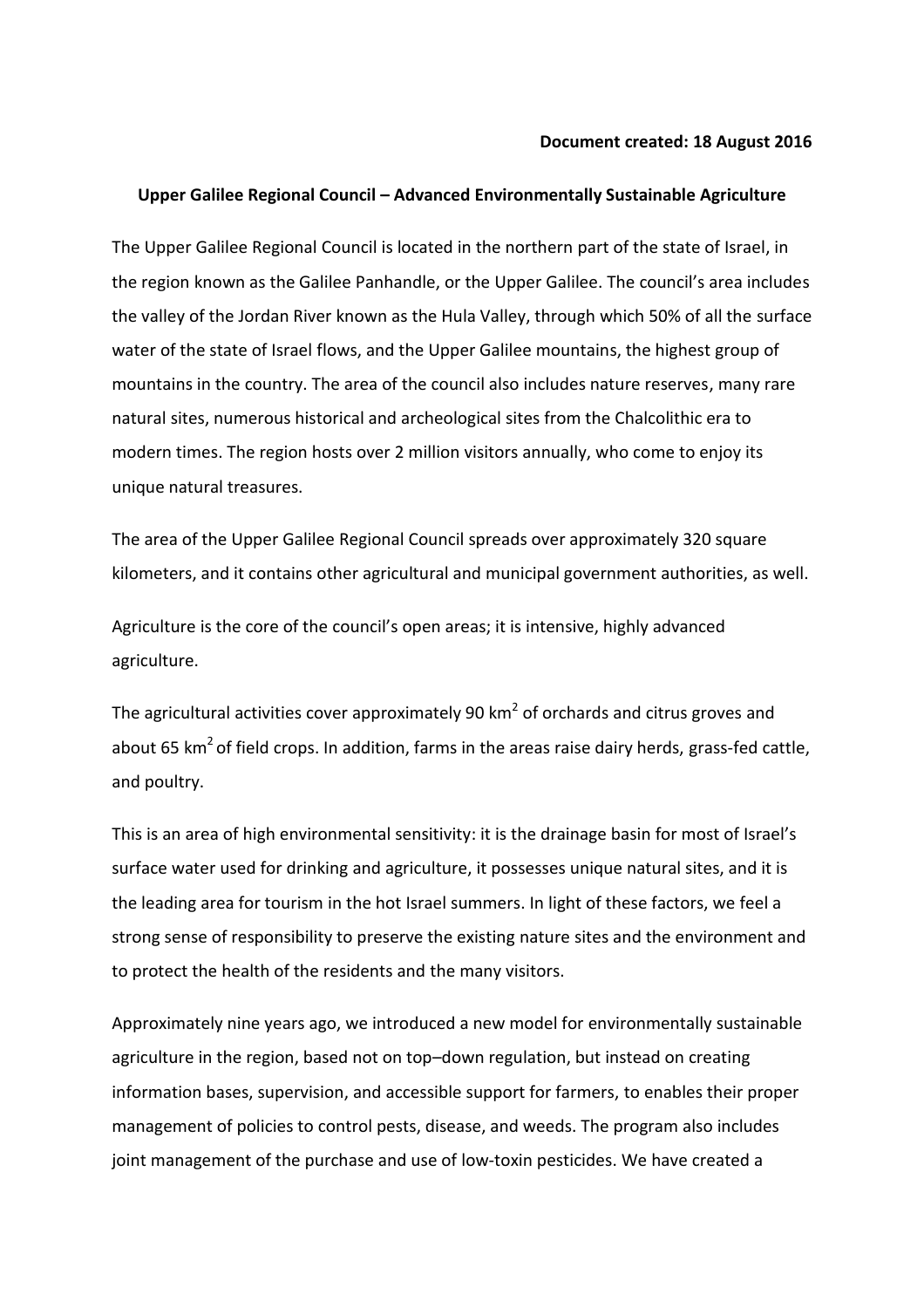## **Document created: 18 August 2016**

## **Upper Galilee Regional Council – Advanced Environmentally Sustainable Agriculture**

The Upper Galilee Regional Council is located in the northern part of the state of Israel, in the region known as the Galilee Panhandle, or the Upper Galilee. The council's area includes the valley of the Jordan River known as the Hula Valley, through which 50% of all the surface water of the state of Israel flows, and the Upper Galilee mountains, the highest group of mountains in the country. The area of the council also includes nature reserves, many rare natural sites, numerous historical and archeological sites from the Chalcolithic era to modern times. The region hosts over 2 million visitors annually, who come to enjoy its unique natural treasures.

The area of the Upper Galilee Regional Council spreads over approximately 320 square kilometers, and it contains other agricultural and municipal government authorities, as well.

Agriculture is the core of the council's open areas; it is intensive, highly advanced agriculture.

The agricultural activities cover approximately 90 km<sup>2</sup> of orchards and citrus groves and about 65 km<sup>2</sup> of field crops. In addition, farms in the areas raise dairy herds, grass-fed cattle, and poultry.

This is an area of high environmental sensitivity: it is the drainage basin for most of Israel's surface water used for drinking and agriculture, it possesses unique natural sites, and it is the leading area for tourism in the hot Israel summers. In light of these factors, we feel a strong sense of responsibility to preserve the existing nature sites and the environment and to protect the health of the residents and the many visitors.

Approximately nine years ago, we introduced a new model for environmentally sustainable agriculture in the region, based not on top–down regulation, but instead on creating information bases, supervision, and accessible support for farmers, to enables their proper management of policies to control pests, disease, and weeds. The program also includes joint management of the purchase and use of low-toxin pesticides. We have created a